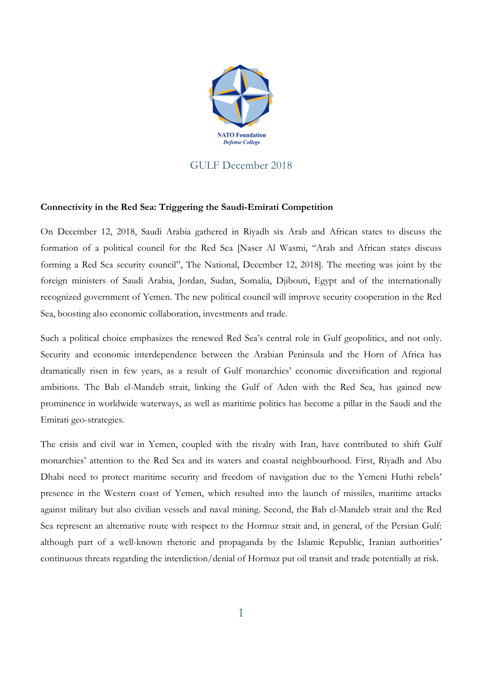

## GULF December 2018

## **Connectivity in the Red Sea: Triggering the Saudi-Emirati Competition**

On December 12, 2018, Saudi Arabia gathered in Riyadh six Arab and African states to discuss the formation of a political council for the Red Sea [Naser Al Wasmi, "Arab and African states discuss forming a Red Sea security council", The National, December 12, 2018]. The meeting was joint by the foreign ministers of Saudi Arabia, Jordan, Sudan, Somalia, Djibouti, Egypt and of the internationally recognized government of Yemen. The new political council will improve security cooperation in the Red Sea, boosting also economic collaboration, investments and trade.

Such a political choice emphasizes the renewed Red Sea's central role in Gulf geopolitics, and not only. Security and economic interdependence between the Arabian Peninsula and the Horn of Africa has dramatically risen in few years, as a result of Gulf monarchies' economic diversification and regional ambitions. The Bab el-Mandeb strait, linking the Gulf of Aden with the Red Sea, has gained new prominence in worldwide waterways, as well as maritime politics has become a pillar in the Saudi and the Emirati geo-strategies.

The crisis and civil war in Yemen, coupled with the rivalry with Iran, have contributed to shift Gulf monarchies' attention to the Red Sea and its waters and coastal neighbourhood. First, Riyadh and Abu Dhabi need to protect maritime security and freedom of navigation due to the Yemeni Huthi rebels' presence in the Western coast of Yemen, which resulted into the launch of missiles, maritime attacks against military but also civilian vessels and naval mining. Second, the Bab el-Mandeb strait and the Red Sea represent an alternative route with respect to the Hormuz strait and, in general, of the Persian Gulf: although part of a well-known rhetoric and propaganda by the Islamic Republic, Iranian authorities' continuous threats regarding the interdiction/denial of Hormuz put oil transit and trade potentially at risk.